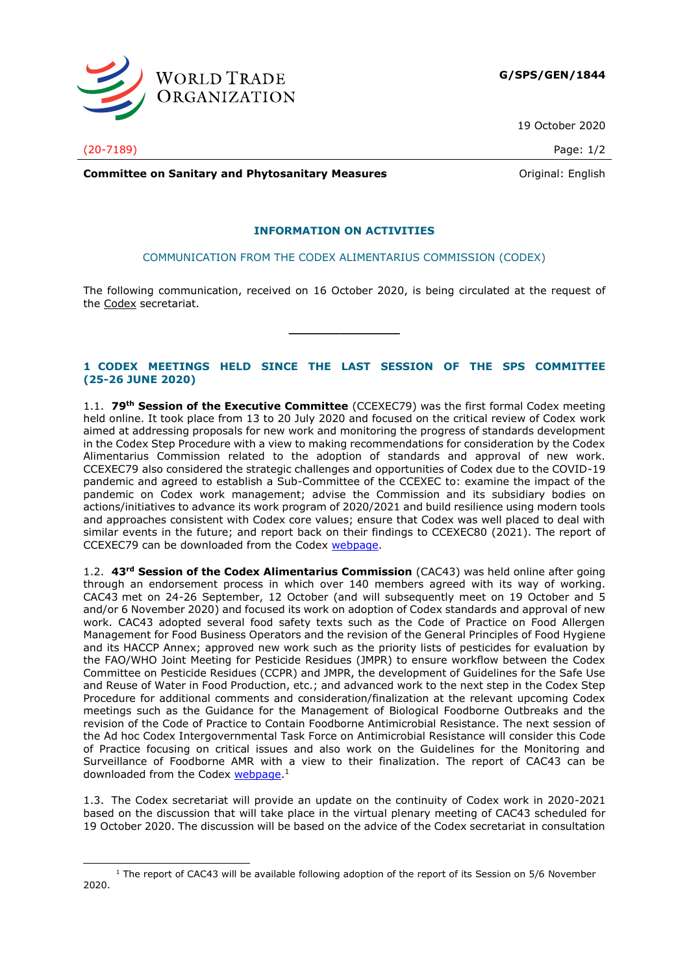

19 October 2020

(20-7189) Page: 1/2

**Committee on Sanitary and Phytosanitary Measures Committee on Sanitary and Phytosanitary Measures Committee And American** 

## **INFORMATION ON ACTIVITIES**

COMMUNICATION FROM THE CODEX ALIMENTARIUS COMMISSION (CODEX)

The following communication, received on 16 October 2020, is being circulated at the request of the Codex secretariat.

**\_\_\_\_\_\_\_\_\_\_\_\_\_\_\_**

## **1 CODEX MEETINGS HELD SINCE THE LAST SESSION OF THE SPS COMMITTEE (25-26 JUNE 2020)**

1.1. **79th Session of the Executive Committee** (CCEXEC79) was the first formal Codex meeting held online. It took place from 13 to 20 July 2020 and focused on the critical review of Codex work aimed at addressing proposals for new work and monitoring the progress of standards development in the Codex Step Procedure with a view to making recommendations for consideration by the Codex Alimentarius Commission related to the adoption of standards and approval of new work. CCEXEC79 also considered the strategic challenges and opportunities of Codex due to the COVID-19 pandemic and agreed to establish a Sub-Committee of the CCEXEC to: examine the impact of the pandemic on Codex work management; advise the Commission and its subsidiary bodies on actions/initiatives to advance its work program of 2020/2021 and build resilience using modern tools and approaches consistent with Codex core values; ensure that Codex was well placed to deal with similar events in the future; and report back on their findings to CCEXEC80 (2021). The report of CCEXEC79 can be downloaded from the Codex [webpage.](http://www.fao.org/fao-who-codexalimentarius/meetings/detail/en/?meeting=CCEXEC&session=79)

1.2. **43rd Session of the Codex Alimentarius Commission** (CAC43) was held online after going through an endorsement process in which over 140 members agreed with its way of working. CAC43 met on 24-26 September, 12 October (and will subsequently meet on 19 October and 5 and/or 6 November 2020) and focused its work on adoption of Codex standards and approval of new work. CAC43 adopted several food safety texts such as the Code of Practice on Food Allergen Management for Food Business Operators and the revision of the General Principles of Food Hygiene and its HACCP Annex; approved new work such as the priority lists of pesticides for evaluation by the FAO/WHO Joint Meeting for Pesticide Residues (JMPR) to ensure workflow between the Codex Committee on Pesticide Residues (CCPR) and JMPR, the development of Guidelines for the Safe Use and Reuse of Water in Food Production, etc.; and advanced work to the next step in the Codex Step Procedure for additional comments and consideration/finalization at the relevant upcoming Codex meetings such as the Guidance for the Management of Biological Foodborne Outbreaks and the revision of the Code of Practice to Contain Foodborne Antimicrobial Resistance. The next session of the Ad hoc Codex Intergovernmental Task Force on Antimicrobial Resistance will consider this Code of Practice focusing on critical issues and also work on the Guidelines for the Monitoring and Surveillance of Foodborne AMR with a view to their finalization. The report of CAC43 can be downloaded from the Codex [webpage.](http://www.fao.org/fao-who-codexalimentarius/meetings/detail/en/?meeting=CAC&session=43)<sup>1</sup>

1.3. The Codex secretariat will provide an update on the continuity of Codex work in 2020-2021 based on the discussion that will take place in the virtual plenary meeting of CAC43 scheduled for 19 October 2020. The discussion will be based on the advice of the Codex secretariat in consultation

<sup>&</sup>lt;sup>1</sup> The report of CAC43 will be available following adoption of the report of its Session on 5/6 November 2020.